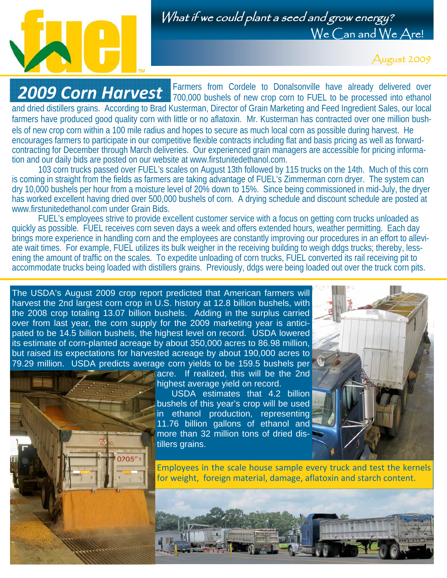

## What if we could plant a seed and grow energy? We Can and We Are!

August 2009

Farmers from Cordele to Donalsonville have already delivered over **2009 Corn Harvest** 700,000 bushels of new crop corn to FUEL to be processed into ethanol **2009** and dried distillers grains. According to Brad Kusterman, Director of Grain Marketing and Feed Ingredient Sales, our local farmers have produced good quality corn with little or no aflatoxin. Mr. Kusterman has contracted over one million bushels of new crop corn within a 100 mile radius and hopes to secure as much local corn as possible during harvest. He encourages farmers to participate in our competitive flexible contracts including flat and basis pricing as well as forwardcontracting for December through March deliveries. Our experienced grain managers are accessible for pricing information and our daily bids are posted on our website at www.firstunitedethanol.com.

 103 corn trucks passed over FUEL's scales on August 13th followed by 115 trucks on the 14th. Much of this corn is coming in straight from the fields as farmers are taking advantage of FUEL's Zimmerman corn dryer. The system can dry 10,000 bushels per hour from a moisture level of 20% down to 15%. Since being commissioned in mid-July, the dryer has worked excellent having dried over 500,000 bushels of corn. A drying schedule and discount schedule are posted at www.firstunitedethanol.com under Grain Bids.

 FUEL's employees strive to provide excellent customer service with a focus on getting corn trucks unloaded as quickly as possible. FUEL receives corn seven days a week and offers extended hours, weather permitting. Each day brings more experience in handling corn and the employees are constantly improving our procedures in an effort to alleviate wait times. For example, FUEL utilizes its bulk weigher in the receiving building to weigh ddgs trucks; thereby, lessening the amount of traffic on the scales. To expedite unloading of corn trucks, FUEL converted its rail receiving pit to accommodate trucks being loaded with distillers grains. Previously, ddgs were being loaded out over the truck corn pits.

The USDA's August 2009 crop report predicted that American farmers will harvest the 2nd largest corn crop in U.S. history at 12.8 billion bushels, with the 2008 crop totaling 13.07 billion bushels. Adding in the surplus carried over from last year, the corn supply for the 2009 marketing year is anticipated to be 14.5 billion bushels, the highest level on record. USDA lowered its estimate of corn-planted acreage by about 350,000 acres to 86.98 million, but raised its expectations for harvested acreage by about 190,000 acres to 79.29 million. USDA predicts average corn yields to be 159.5 bushels per

 $0205<sup>r</sup>$ 

acre. If realized, this will be the 2nd highest average yield on record.

 USDA estimates that 4.2 billion bushels of this year's crop will be used in ethanol production, representing 11.76 billion gallons of ethanol and more than 32 million tons of dried distillers grains.



Employees in the scale house sample every truck and test the kernels for weight, foreign material, damage, aflatoxin and starch content.